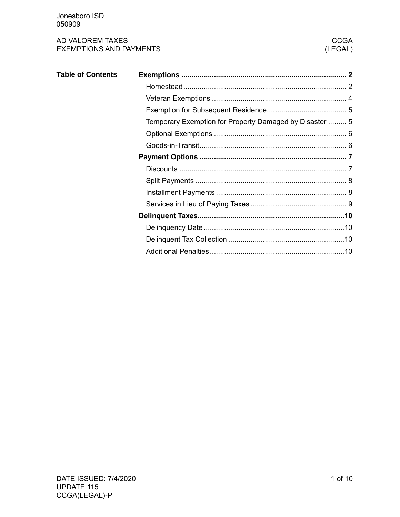| <b>Table of Contents</b> |                                                         |  |
|--------------------------|---------------------------------------------------------|--|
|                          |                                                         |  |
|                          |                                                         |  |
|                          |                                                         |  |
|                          | Temporary Exemption for Property Damaged by Disaster  5 |  |
|                          |                                                         |  |
|                          |                                                         |  |
|                          |                                                         |  |
|                          |                                                         |  |
|                          |                                                         |  |
|                          |                                                         |  |
|                          |                                                         |  |
|                          |                                                         |  |
|                          |                                                         |  |
|                          |                                                         |  |
|                          |                                                         |  |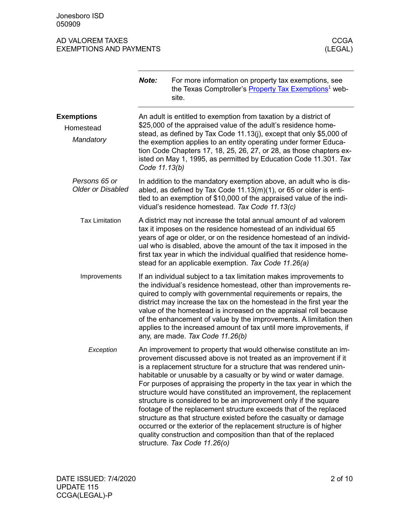<span id="page-1-1"></span><span id="page-1-0"></span>

|                                           | Note:                                                                                                                                                                                                                                                                                               | For more information on property tax exemptions, see<br>the Texas Comptroller's Property Tax Exemptions <sup>1</sup> web-<br>site.                                                                                                                                                                                                                                                                                                                                                                                                                                                                                                                                                                                                                                                                              |  |
|-------------------------------------------|-----------------------------------------------------------------------------------------------------------------------------------------------------------------------------------------------------------------------------------------------------------------------------------------------------|-----------------------------------------------------------------------------------------------------------------------------------------------------------------------------------------------------------------------------------------------------------------------------------------------------------------------------------------------------------------------------------------------------------------------------------------------------------------------------------------------------------------------------------------------------------------------------------------------------------------------------------------------------------------------------------------------------------------------------------------------------------------------------------------------------------------|--|
| <b>Exemptions</b>                         |                                                                                                                                                                                                                                                                                                     | An adult is entitled to exemption from taxation by a district of<br>\$25,000 of the appraised value of the adult's residence home-                                                                                                                                                                                                                                                                                                                                                                                                                                                                                                                                                                                                                                                                              |  |
| Homestead<br>Mandatory                    | stead, as defined by Tax Code 11.13(j), except that only \$5,000 of<br>the exemption applies to an entity operating under former Educa-<br>tion Code Chapters 17, 18, 25, 26, 27, or 28, as those chapters ex-<br>isted on May 1, 1995, as permitted by Education Code 11.301. Tax<br>Code 11.13(b) |                                                                                                                                                                                                                                                                                                                                                                                                                                                                                                                                                                                                                                                                                                                                                                                                                 |  |
| Persons 65 or<br><b>Older or Disabled</b> |                                                                                                                                                                                                                                                                                                     | In addition to the mandatory exemption above, an adult who is dis-<br>abled, as defined by Tax Code $11.13(m)(1)$ , or 65 or older is enti-<br>tled to an exemption of \$10,000 of the appraised value of the indi-<br>vidual's residence homestead. Tax Code 11.13(c)                                                                                                                                                                                                                                                                                                                                                                                                                                                                                                                                          |  |
| <b>Tax Limitation</b>                     |                                                                                                                                                                                                                                                                                                     | A district may not increase the total annual amount of ad valorem<br>tax it imposes on the residence homestead of an individual 65<br>years of age or older, or on the residence homestead of an individ-<br>ual who is disabled, above the amount of the tax it imposed in the<br>first tax year in which the individual qualified that residence home-<br>stead for an applicable exemption. Tax Code 11.26(a)                                                                                                                                                                                                                                                                                                                                                                                                |  |
| Improvements                              |                                                                                                                                                                                                                                                                                                     | If an individual subject to a tax limitation makes improvements to<br>the individual's residence homestead, other than improvements re-<br>quired to comply with governmental requirements or repairs, the<br>district may increase the tax on the homestead in the first year the<br>value of the homestead is increased on the appraisal roll because<br>of the enhancement of value by the improvements. A limitation then<br>applies to the increased amount of tax until more improvements, if<br>any, are made. Tax Code 11.26(b)                                                                                                                                                                                                                                                                         |  |
| Exception                                 |                                                                                                                                                                                                                                                                                                     | An improvement to property that would otherwise constitute an im-<br>provement discussed above is not treated as an improvement if it<br>is a replacement structure for a structure that was rendered unin-<br>habitable or unusable by a casualty or by wind or water damage.<br>For purposes of appraising the property in the tax year in which the<br>structure would have constituted an improvement, the replacement<br>structure is considered to be an improvement only if the square<br>footage of the replacement structure exceeds that of the replaced<br>structure as that structure existed before the casualty or damage<br>occurred or the exterior of the replacement structure is of higher<br>quality construction and composition than that of the replaced<br>structure. Tax Code 11.26(o) |  |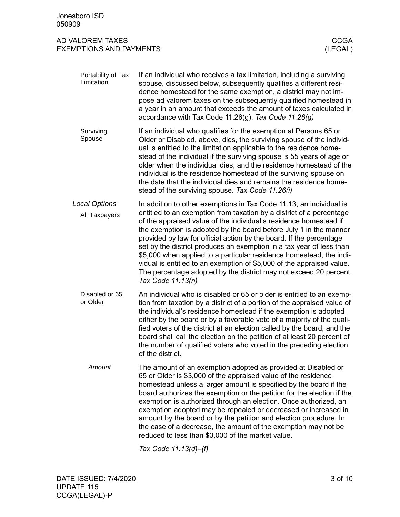| Jonesboro ISD<br>050909                            |                                                                                                                                                                                                                                                                                                                                                                                                                                                                                                                                                                                                                                                                                |                        |
|----------------------------------------------------|--------------------------------------------------------------------------------------------------------------------------------------------------------------------------------------------------------------------------------------------------------------------------------------------------------------------------------------------------------------------------------------------------------------------------------------------------------------------------------------------------------------------------------------------------------------------------------------------------------------------------------------------------------------------------------|------------------------|
| AD VALOREM TAXES<br><b>EXEMPTIONS AND PAYMENTS</b> |                                                                                                                                                                                                                                                                                                                                                                                                                                                                                                                                                                                                                                                                                | <b>CCGA</b><br>(LEGAL) |
| Portability of Tax<br>Limitation                   | If an individual who receives a tax limitation, including a surviving<br>spouse, discussed below, subsequently qualifies a different resi-<br>dence homestead for the same exemption, a district may not im-<br>pose ad valorem taxes on the subsequently qualified homestead in<br>a year in an amount that exceeds the amount of taxes calculated in<br>accordance with Tax Code 11.26(g). Tax Code $11.26(g)$                                                                                                                                                                                                                                                               |                        |
| Surviving<br>Spouse                                | If an individual who qualifies for the exemption at Persons 65 or<br>Older or Disabled, above, dies, the surviving spouse of the individ-<br>ual is entitled to the limitation applicable to the residence home-<br>stead of the individual if the surviving spouse is 55 years of age or<br>older when the individual dies, and the residence homestead of the<br>individual is the residence homestead of the surviving spouse on<br>the date that the individual dies and remains the residence home-<br>stead of the surviving spouse. Tax Code 11.26(i)                                                                                                                   |                        |
| <b>Local Options</b><br>All Taxpayers              | In addition to other exemptions in Tax Code 11.13, an individual is<br>entitled to an exemption from taxation by a district of a percentage<br>of the appraised value of the individual's residence homestead if<br>the exemption is adopted by the board before July 1 in the manner<br>provided by law for official action by the board. If the percentage<br>set by the district produces an exemption in a tax year of less than<br>\$5,000 when applied to a particular residence homestead, the indi-<br>vidual is entitled to an exemption of \$5,000 of the appraised value.<br>The percentage adopted by the district may not exceed 20 percent.<br>Tax Code 11.13(n) |                        |
| Disabled or 65<br>or Older                         | An individual who is disabled or 65 or older is entitled to an exemp-<br>tion from taxation by a district of a portion of the appraised value of<br>the individual's residence homestead if the exemption is adopted<br>either by the board or by a favorable vote of a majority of the quali-<br>fied voters of the district at an election called by the board, and the<br>board shall call the election on the petition of at least 20 percent of<br>the number of qualified voters who voted in the preceding election<br>of the district.                                                                                                                                 |                        |
| Amount                                             | The amount of an exemption adopted as provided at Disabled or<br>65 or Older is \$3,000 of the appraised value of the residence<br>homestead unless a larger amount is specified by the board if the<br>board authorizes the exemption or the petition for the election if the<br>exemption is authorized through an election. Once authorized, an<br>exemption adopted may be repealed or decreased or increased in<br>amount by the board or by the petition and election procedure. In<br>the case of a decrease, the amount of the exemption may not be<br>reduced to less than \$3,000 of the market value.                                                               |                        |

*Tax Code 11.13(d)–(f)*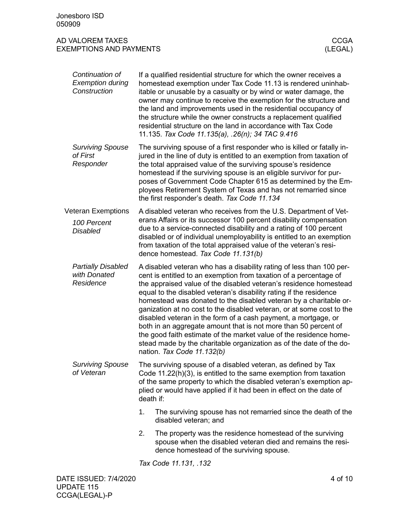<span id="page-3-0"></span>

|                                                             | Continuation of<br><b>Exemption during</b><br>Construction |                                                                                                                                                                                                                                                                                                                                                                                                  | If a qualified residential structure for which the owner receives a<br>homestead exemption under Tax Code 11.13 is rendered uninhab-<br>itable or unusable by a casualty or by wind or water damage, the<br>owner may continue to receive the exemption for the structure and<br>the land and improvements used in the residential occupancy of<br>the structure while the owner constructs a replacement qualified<br>residential structure on the land in accordance with Tax Code<br>11.135. Tax Code 11.135(a), .26(n); 34 TAC 9.416                                                                                                                                                                                                           |  |  |
|-------------------------------------------------------------|------------------------------------------------------------|--------------------------------------------------------------------------------------------------------------------------------------------------------------------------------------------------------------------------------------------------------------------------------------------------------------------------------------------------------------------------------------------------|----------------------------------------------------------------------------------------------------------------------------------------------------------------------------------------------------------------------------------------------------------------------------------------------------------------------------------------------------------------------------------------------------------------------------------------------------------------------------------------------------------------------------------------------------------------------------------------------------------------------------------------------------------------------------------------------------------------------------------------------------|--|--|
|                                                             | <b>Surviving Spouse</b><br>of First<br>Responder           |                                                                                                                                                                                                                                                                                                                                                                                                  | The surviving spouse of a first responder who is killed or fatally in-<br>jured in the line of duty is entitled to an exemption from taxation of<br>the total appraised value of the surviving spouse's residence<br>homestead if the surviving spouse is an eligible survivor for pur-<br>poses of Government Code Chapter 615 as determined by the Em-<br>ployees Retirement System of Texas and has not remarried since<br>the first responder's death. Tax Code 11.134                                                                                                                                                                                                                                                                         |  |  |
| <b>Veteran Exemptions</b><br>100 Percent<br><b>Disabled</b> |                                                            | A disabled veteran who receives from the U.S. Department of Vet-<br>erans Affairs or its successor 100 percent disability compensation<br>due to a service-connected disability and a rating of 100 percent<br>disabled or of individual unemployability is entitled to an exemption<br>from taxation of the total appraised value of the veteran's resi-<br>dence homestead. Tax Code 11.131(b) |                                                                                                                                                                                                                                                                                                                                                                                                                                                                                                                                                                                                                                                                                                                                                    |  |  |
|                                                             | <b>Partially Disabled</b><br>with Donated<br>Residence     |                                                                                                                                                                                                                                                                                                                                                                                                  | A disabled veteran who has a disability rating of less than 100 per-<br>cent is entitled to an exemption from taxation of a percentage of<br>the appraised value of the disabled veteran's residence homestead<br>equal to the disabled veteran's disability rating if the residence<br>homestead was donated to the disabled veteran by a charitable or-<br>ganization at no cost to the disabled veteran, or at some cost to the<br>disabled veteran in the form of a cash payment, a mortgage, or<br>both in an aggregate amount that is not more than 50 percent of<br>the good faith estimate of the market value of the residence home-<br>stead made by the charitable organization as of the date of the do-<br>nation. Tax Code 11.132(b) |  |  |
| <b>Surviving Spouse</b><br>of Veteran                       |                                                            | The surviving spouse of a disabled veteran, as defined by Tax<br>Code 11.22(h)(3), is entitled to the same exemption from taxation<br>of the same property to which the disabled veteran's exemption ap-<br>plied or would have applied if it had been in effect on the date of<br>death if:                                                                                                     |                                                                                                                                                                                                                                                                                                                                                                                                                                                                                                                                                                                                                                                                                                                                                    |  |  |
|                                                             |                                                            | 1.                                                                                                                                                                                                                                                                                                                                                                                               | The surviving spouse has not remarried since the death of the<br>disabled veteran; and                                                                                                                                                                                                                                                                                                                                                                                                                                                                                                                                                                                                                                                             |  |  |
|                                                             |                                                            | 2.                                                                                                                                                                                                                                                                                                                                                                                               | The property was the residence homestead of the surviving<br>spouse when the disabled veteran died and remains the resi-<br>dence homestead of the surviving spouse.                                                                                                                                                                                                                                                                                                                                                                                                                                                                                                                                                                               |  |  |
|                                                             |                                                            |                                                                                                                                                                                                                                                                                                                                                                                                  | Tax Code 11.131, .132                                                                                                                                                                                                                                                                                                                                                                                                                                                                                                                                                                                                                                                                                                                              |  |  |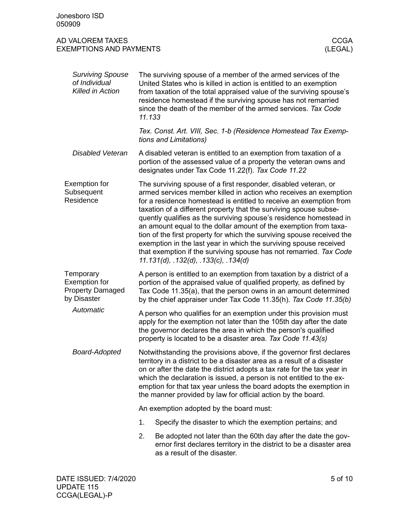<span id="page-4-1"></span><span id="page-4-0"></span>

| Jonesboro ISD<br>050909                                                     |                                                                                                                                                                                                                                                                                                                                                                                                                                          |                                                                                                                                                                                                                                                                                                                                                                                                                                                                                                                                                                                                                                                                                       |  |  |
|-----------------------------------------------------------------------------|------------------------------------------------------------------------------------------------------------------------------------------------------------------------------------------------------------------------------------------------------------------------------------------------------------------------------------------------------------------------------------------------------------------------------------------|---------------------------------------------------------------------------------------------------------------------------------------------------------------------------------------------------------------------------------------------------------------------------------------------------------------------------------------------------------------------------------------------------------------------------------------------------------------------------------------------------------------------------------------------------------------------------------------------------------------------------------------------------------------------------------------|--|--|
| AD VALOREM TAXES<br><b>EXEMPTIONS AND PAYMENTS</b>                          |                                                                                                                                                                                                                                                                                                                                                                                                                                          | <b>CCGA</b><br>(LEGAL)                                                                                                                                                                                                                                                                                                                                                                                                                                                                                                                                                                                                                                                                |  |  |
| <b>Surviving Spouse</b><br>of Individual<br>Killed in Action                |                                                                                                                                                                                                                                                                                                                                                                                                                                          | The surviving spouse of a member of the armed services of the<br>United States who is killed in action is entitled to an exemption<br>from taxation of the total appraised value of the surviving spouse's<br>residence homestead if the surviving spouse has not remarried<br>since the death of the member of the armed services. Tax Code<br>11.133                                                                                                                                                                                                                                                                                                                                |  |  |
|                                                                             |                                                                                                                                                                                                                                                                                                                                                                                                                                          | Tex. Const. Art. VIII, Sec. 1-b (Residence Homestead Tax Exemp-<br>tions and Limitations)                                                                                                                                                                                                                                                                                                                                                                                                                                                                                                                                                                                             |  |  |
| <b>Disabled Veteran</b>                                                     |                                                                                                                                                                                                                                                                                                                                                                                                                                          | A disabled veteran is entitled to an exemption from taxation of a<br>portion of the assessed value of a property the veteran owns and<br>designates under Tax Code 11.22(f). Tax Code 11.22                                                                                                                                                                                                                                                                                                                                                                                                                                                                                           |  |  |
| Exemption for<br>Subsequent<br>Residence                                    |                                                                                                                                                                                                                                                                                                                                                                                                                                          | The surviving spouse of a first responder, disabled veteran, or<br>armed services member killed in action who receives an exemption<br>for a residence homestead is entitled to receive an exemption from<br>taxation of a different property that the surviving spouse subse-<br>quently qualifies as the surviving spouse's residence homestead in<br>an amount equal to the dollar amount of the exemption from taxa-<br>tion of the first property for which the surviving spouse received the<br>exemption in the last year in which the surviving spouse received<br>that exemption if the surviving spouse has not remarried. Tax Code<br>11.131(d), .132(d), .133(c), .134(d) |  |  |
| Temporary<br><b>Exemption for</b><br><b>Property Damaged</b><br>by Disaster |                                                                                                                                                                                                                                                                                                                                                                                                                                          | A person is entitled to an exemption from taxation by a district of a<br>portion of the appraised value of qualified property, as defined by<br>Tax Code 11.35(a), that the person owns in an amount determined<br>by the chief appraiser under Tax Code 11.35(h). Tax Code 11.35(b)                                                                                                                                                                                                                                                                                                                                                                                                  |  |  |
| Automatic                                                                   |                                                                                                                                                                                                                                                                                                                                                                                                                                          | A person who qualifies for an exemption under this provision must<br>apply for the exemption not later than the 105th day after the date<br>the governor declares the area in which the person's qualified<br>property is located to be a disaster area. Tax Code 11.43(s)                                                                                                                                                                                                                                                                                                                                                                                                            |  |  |
| Board-Adopted                                                               | Notwithstanding the provisions above, if the governor first declares<br>territory in a district to be a disaster area as a result of a disaster<br>on or after the date the district adopts a tax rate for the tax year in<br>which the declaration is issued, a person is not entitled to the ex-<br>emption for that tax year unless the board adopts the exemption in<br>the manner provided by law for official action by the board. |                                                                                                                                                                                                                                                                                                                                                                                                                                                                                                                                                                                                                                                                                       |  |  |
|                                                                             | An exemption adopted by the board must:                                                                                                                                                                                                                                                                                                                                                                                                  |                                                                                                                                                                                                                                                                                                                                                                                                                                                                                                                                                                                                                                                                                       |  |  |
|                                                                             | 1.                                                                                                                                                                                                                                                                                                                                                                                                                                       | Specify the disaster to which the exemption pertains; and                                                                                                                                                                                                                                                                                                                                                                                                                                                                                                                                                                                                                             |  |  |
|                                                                             | 2.                                                                                                                                                                                                                                                                                                                                                                                                                                       | Be adopted not later than the 60th day after the date the gov-<br>ernor first declares territory in the district to be a disaster area<br>as a result of the disaster.                                                                                                                                                                                                                                                                                                                                                                                                                                                                                                                |  |  |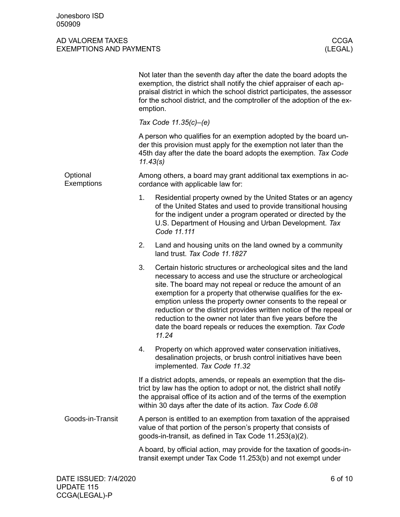<span id="page-5-1"></span><span id="page-5-0"></span>

|                               | Not later than the seventh day after the date the board adopts the<br>exemption, the district shall notify the chief appraiser of each ap-<br>praisal district in which the school district participates, the assessor<br>for the school district, and the comptroller of the adoption of the ex-<br>emption.                                                                                                                                                                                                                               |  |  |  |
|-------------------------------|---------------------------------------------------------------------------------------------------------------------------------------------------------------------------------------------------------------------------------------------------------------------------------------------------------------------------------------------------------------------------------------------------------------------------------------------------------------------------------------------------------------------------------------------|--|--|--|
|                               | Tax Code 11.35(c)-(e)                                                                                                                                                                                                                                                                                                                                                                                                                                                                                                                       |  |  |  |
|                               | A person who qualifies for an exemption adopted by the board un-<br>der this provision must apply for the exemption not later than the<br>45th day after the date the board adopts the exemption. Tax Code<br>11.43(s)                                                                                                                                                                                                                                                                                                                      |  |  |  |
| Optional<br><b>Exemptions</b> | Among others, a board may grant additional tax exemptions in ac-<br>cordance with applicable law for:                                                                                                                                                                                                                                                                                                                                                                                                                                       |  |  |  |
|                               | 1.<br>Residential property owned by the United States or an agency<br>of the United States and used to provide transitional housing<br>for the indigent under a program operated or directed by the<br>U.S. Department of Housing and Urban Development. Tax<br>Code 11.111                                                                                                                                                                                                                                                                 |  |  |  |
|                               | Land and housing units on the land owned by a community<br>2.<br>land trust. Tax Code 11.1827                                                                                                                                                                                                                                                                                                                                                                                                                                               |  |  |  |
|                               | 3.<br>Certain historic structures or archeological sites and the land<br>necessary to access and use the structure or archeological<br>site. The board may not repeal or reduce the amount of an<br>exemption for a property that otherwise qualifies for the ex-<br>emption unless the property owner consents to the repeal or<br>reduction or the district provides written notice of the repeal or<br>reduction to the owner not later than five years before the<br>date the board repeals or reduces the exemption. Tax Code<br>11.24 |  |  |  |
|                               | 4.<br>Property on which approved water conservation initiatives,<br>desalination projects, or brush control initiatives have been<br>implemented. Tax Code 11.32                                                                                                                                                                                                                                                                                                                                                                            |  |  |  |
|                               | If a district adopts, amends, or repeals an exemption that the dis-<br>trict by law has the option to adopt or not, the district shall notify<br>the appraisal office of its action and of the terms of the exemption<br>within 30 days after the date of its action. Tax Code 6.08                                                                                                                                                                                                                                                         |  |  |  |
| Goods-in-Transit              | A person is entitled to an exemption from taxation of the appraised<br>value of that portion of the person's property that consists of<br>goods-in-transit, as defined in Tax Code 11.253(a)(2).                                                                                                                                                                                                                                                                                                                                            |  |  |  |
|                               | A board, by official action, may provide for the taxation of goods-in-<br>transit exempt under Tax Code 11.253(b) and not exempt under                                                                                                                                                                                                                                                                                                                                                                                                      |  |  |  |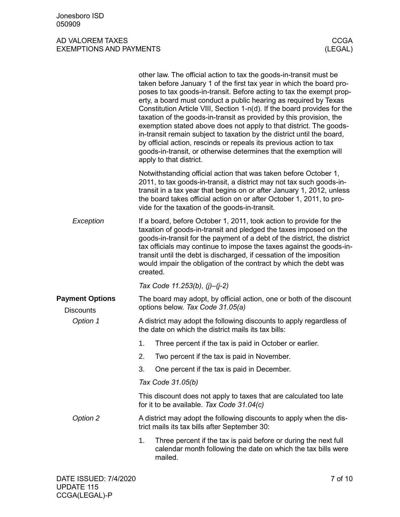<span id="page-6-1"></span><span id="page-6-0"></span>

|                                            |          | other law. The official action to tax the goods-in-transit must be<br>taken before January 1 of the first tax year in which the board pro-<br>poses to tax goods-in-transit. Before acting to tax the exempt prop-<br>erty, a board must conduct a public hearing as required by Texas<br>Constitution Article VIII, Section 1-n(d). If the board provides for the<br>taxation of the goods-in-transit as provided by this provision, the<br>exemption stated above does not apply to that district. The goods-<br>in-transit remain subject to taxation by the district until the board,<br>by official action, rescinds or repeals its previous action to tax<br>goods-in-transit, or otherwise determines that the exemption will<br>apply to that district. |         |
|--------------------------------------------|----------|-----------------------------------------------------------------------------------------------------------------------------------------------------------------------------------------------------------------------------------------------------------------------------------------------------------------------------------------------------------------------------------------------------------------------------------------------------------------------------------------------------------------------------------------------------------------------------------------------------------------------------------------------------------------------------------------------------------------------------------------------------------------|---------|
|                                            |          | Notwithstanding official action that was taken before October 1,<br>2011, to tax goods-in-transit, a district may not tax such goods-in-<br>transit in a tax year that begins on or after January 1, 2012, unless<br>the board takes official action on or after October 1, 2011, to pro-<br>vide for the taxation of the goods-in-transit.                                                                                                                                                                                                                                                                                                                                                                                                                     |         |
| Exception                                  | created. | If a board, before October 1, 2011, took action to provide for the<br>taxation of goods-in-transit and pledged the taxes imposed on the<br>goods-in-transit for the payment of a debt of the district, the district<br>tax officials may continue to impose the taxes against the goods-in-<br>transit until the debt is discharged, if cessation of the imposition<br>would impair the obligation of the contract by which the debt was                                                                                                                                                                                                                                                                                                                        |         |
|                                            |          | Tax Code 11.253(b), (j)-(j-2)                                                                                                                                                                                                                                                                                                                                                                                                                                                                                                                                                                                                                                                                                                                                   |         |
| <b>Payment Options</b><br><b>Discounts</b> |          | The board may adopt, by official action, one or both of the discount<br>options below. Tax Code 31.05(a)                                                                                                                                                                                                                                                                                                                                                                                                                                                                                                                                                                                                                                                        |         |
| Option 1                                   |          | A district may adopt the following discounts to apply regardless of<br>the date on which the district mails its tax bills:                                                                                                                                                                                                                                                                                                                                                                                                                                                                                                                                                                                                                                      |         |
|                                            | 1.       | Three percent if the tax is paid in October or earlier.                                                                                                                                                                                                                                                                                                                                                                                                                                                                                                                                                                                                                                                                                                         |         |
|                                            | 2.       | Two percent if the tax is paid in November.                                                                                                                                                                                                                                                                                                                                                                                                                                                                                                                                                                                                                                                                                                                     |         |
|                                            | 3.       | One percent if the tax is paid in December.                                                                                                                                                                                                                                                                                                                                                                                                                                                                                                                                                                                                                                                                                                                     |         |
|                                            |          | Tax Code 31.05(b)                                                                                                                                                                                                                                                                                                                                                                                                                                                                                                                                                                                                                                                                                                                                               |         |
|                                            |          | This discount does not apply to taxes that are calculated too late<br>for it to be available. Tax Code 31.04(c)                                                                                                                                                                                                                                                                                                                                                                                                                                                                                                                                                                                                                                                 |         |
| Option 2                                   |          | A district may adopt the following discounts to apply when the dis-<br>trict mails its tax bills after September 30:                                                                                                                                                                                                                                                                                                                                                                                                                                                                                                                                                                                                                                            |         |
|                                            | 1.       | Three percent if the tax is paid before or during the next full<br>calendar month following the date on which the tax bills were<br>mailed.                                                                                                                                                                                                                                                                                                                                                                                                                                                                                                                                                                                                                     |         |
| DATE ISSUED: 7/4/2020                      |          |                                                                                                                                                                                                                                                                                                                                                                                                                                                                                                                                                                                                                                                                                                                                                                 | 7 of 10 |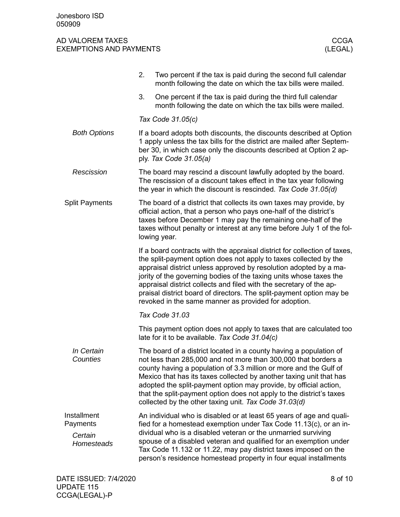<span id="page-7-1"></span><span id="page-7-0"></span>

|                                                         | 2.<br>Two percent if the tax is paid during the second full calendar<br>month following the date on which the tax bills were mailed.                                                                                                                                                                                                                                                                                                                                                             |  |  |
|---------------------------------------------------------|--------------------------------------------------------------------------------------------------------------------------------------------------------------------------------------------------------------------------------------------------------------------------------------------------------------------------------------------------------------------------------------------------------------------------------------------------------------------------------------------------|--|--|
|                                                         | 3.<br>One percent if the tax is paid during the third full calendar<br>month following the date on which the tax bills were mailed.                                                                                                                                                                                                                                                                                                                                                              |  |  |
|                                                         | Tax Code 31.05(c)                                                                                                                                                                                                                                                                                                                                                                                                                                                                                |  |  |
| <b>Both Options</b>                                     | If a board adopts both discounts, the discounts described at Option<br>1 apply unless the tax bills for the district are mailed after Septem-<br>ber 30, in which case only the discounts described at Option 2 ap-<br>ply. Tax Code 31.05(a)                                                                                                                                                                                                                                                    |  |  |
| Rescission                                              | The board may rescind a discount lawfully adopted by the board.<br>The rescission of a discount takes effect in the tax year following<br>the year in which the discount is rescinded. Tax Code 31.05(d)                                                                                                                                                                                                                                                                                         |  |  |
| <b>Split Payments</b>                                   | The board of a district that collects its own taxes may provide, by<br>official action, that a person who pays one-half of the district's<br>taxes before December 1 may pay the remaining one-half of the<br>taxes without penalty or interest at any time before July 1 of the fol-<br>lowing year.                                                                                                                                                                                            |  |  |
|                                                         | If a board contracts with the appraisal district for collection of taxes,<br>the split-payment option does not apply to taxes collected by the<br>appraisal district unless approved by resolution adopted by a ma-<br>jority of the governing bodies of the taxing units whose taxes the<br>appraisal district collects and filed with the secretary of the ap-<br>praisal district board of directors. The split-payment option may be<br>revoked in the same manner as provided for adoption. |  |  |
|                                                         | Tax Code 31.03                                                                                                                                                                                                                                                                                                                                                                                                                                                                                   |  |  |
|                                                         | This payment option does not apply to taxes that are calculated too<br>late for it to be available. Tax Code 31.04(c)                                                                                                                                                                                                                                                                                                                                                                            |  |  |
| In Certain<br>Counties                                  | The board of a district located in a county having a population of<br>not less than 285,000 and not more than 300,000 that borders a<br>county having a population of 3.3 million or more and the Gulf of<br>Mexico that has its taxes collected by another taxing unit that has<br>adopted the split-payment option may provide, by official action,<br>that the split-payment option does not apply to the district's taxes<br>collected by the other taxing unit. Tax Code 31.03(d)           |  |  |
| Installment<br>Payments<br>Certain<br><b>Homesteads</b> | An individual who is disabled or at least 65 years of age and quali-<br>fied for a homestead exemption under Tax Code 11.13(c), or an in-<br>dividual who is a disabled veteran or the unmarried surviving<br>spouse of a disabled veteran and qualified for an exemption under<br>Tax Code 11.132 or 11.22, may pay district taxes imposed on the<br>person's residence homestead property in four equal installments                                                                           |  |  |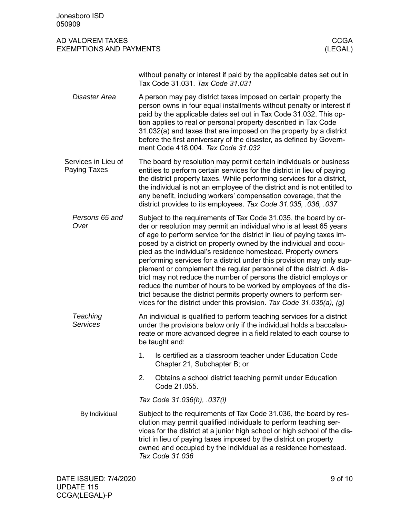#### AD VALOREM TAXES AND THE RESERVE THAT THE RESERVE THAT THE RESERVE THAT THE RESERVE THAT THE RESERVE THAT THE R EXEMPTIONS AND PAYMENTS (LEGAL)

without penalty or interest if paid by the applicable dates set out in Tax Code 31.031. *Tax Code 31.031*

- A person may pay district taxes imposed on certain property the person owns in four equal installments without penalty or interest if paid by the applicable dates set out in Tax Code 31.032. This option applies to real or personal property described in Tax Code 31.032(a) and taxes that are imposed on the property by a district before the first anniversary of the disaster, as defined by Government Code 418.004. *Tax Code 31.032 Disaster Area*
- <span id="page-8-0"></span>The board by resolution may permit certain individuals or business entities to perform certain services for the district in lieu of paying the district property taxes. While performing services for a district, the individual is not an employee of the district and is not entitled to any benefit, including workers' compensation coverage, that the district provides to its employees. *Tax Code 31.035, .036, .037* Services in Lieu of Paying Taxes
	- Subject to the requirements of Tax Code 31.035, the board by order or resolution may permit an individual who is at least 65 years of age to perform service for the district in lieu of paying taxes imposed by a district on property owned by the individual and occupied as the individual's residence homestead. Property owners performing services for a district under this provision may only supplement or complement the regular personnel of the district. A district may not reduce the number of persons the district employs or reduce the number of hours to be worked by employees of the district because the district permits property owners to perform services for the district under this provision. *Tax Code 31.035(a), (g) Persons 65 and Over*
	- An individual is qualified to perform teaching services for a district under the provisions below only if the individual holds a baccalaureate or more advanced degree in a field related to each course to be taught and: *Teaching Services*
		- 1. Is certified as a classroom teacher under Education Code Chapter 21, Subchapter B; or
		- 2. Obtains a school district teaching permit under Education Code 21.055.

*Tax Code 31.036(h), .037(i)*

Subject to the requirements of Tax Code 31.036, the board by resolution may permit qualified individuals to perform teaching services for the district at a junior high school or high school of the district in lieu of paying taxes imposed by the district on property owned and occupied by the individual as a residence homestead. *Tax Code 31.036* By Individual